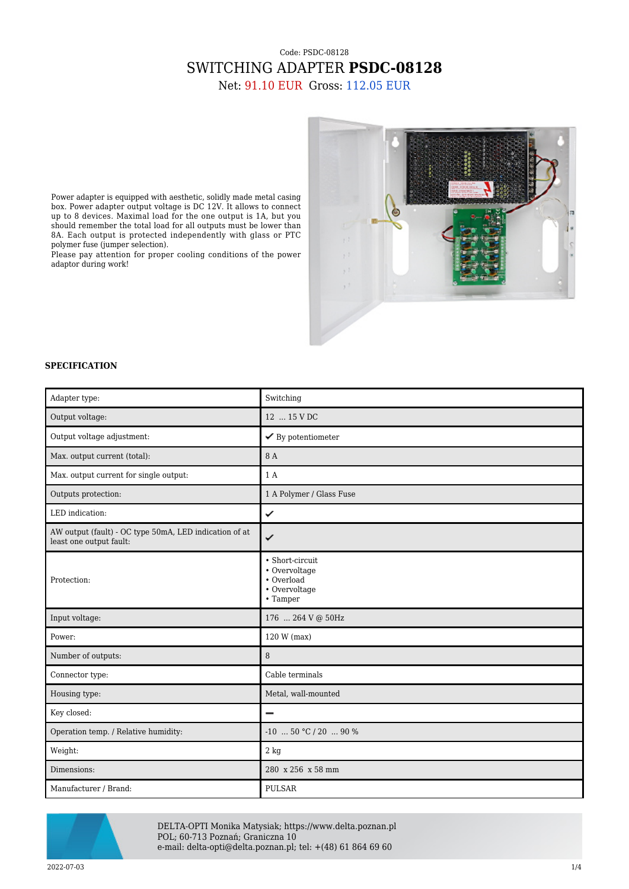## Code: PSDC-08128 SWITCHING ADAPTER **PSDC-08128** Net: 91.10 EUR Gross: 112.05 EUR



Power adapter is equipped with aesthetic, solidly made metal casing box. Power adapter output voltage is DC 12V. It allows to connect up to 8 devices. Maximal load for the one output is 1A, but you should remember the total load for all outputs must be lower than 8A. Each output is protected independently with glass or PTC polymer fuse (jumper selection).

Please pay attention for proper cooling conditions of the power adaptor during work!

## **SPECIFICATION**

| Adapter type:                                                                     | Switching                                                                   |
|-----------------------------------------------------------------------------------|-----------------------------------------------------------------------------|
| Output voltage:                                                                   | 12  15 V DC                                                                 |
| Output voltage adjustment:                                                        | $\checkmark$ By potentiometer                                               |
| Max. output current (total):                                                      | 8 A                                                                         |
| Max. output current for single output:                                            | 1A                                                                          |
| Outputs protection:                                                               | 1 A Polymer / Glass Fuse                                                    |
| LED indication:                                                                   | ✓                                                                           |
| AW output (fault) - OC type 50mA, LED indication of at<br>least one output fault: | ✓                                                                           |
| Protection:                                                                       | • Short-circuit<br>• Overvoltage<br>• Overload<br>• Overvoltage<br>• Tamper |
| Input voltage:                                                                    | 176  264 V @ 50Hz                                                           |
| Power:                                                                            | 120 W (max)                                                                 |
| Number of outputs:                                                                | 8                                                                           |
| Connector type:                                                                   | Cable terminals                                                             |
| Housing type:                                                                     | Metal, wall-mounted                                                         |
| Key closed:                                                                       | $\overline{\phantom{0}}$                                                    |
| Operation temp. / Relative humidity:                                              | $-10$ 50 °C / 20  90 %                                                      |
| Weight:                                                                           | 2 kg                                                                        |
| Dimensions:                                                                       | 280 x 256 x 58 mm                                                           |
| Manufacturer / Brand:                                                             | <b>PULSAR</b>                                                               |



DELTA-OPTI Monika Matysiak; https://www.delta.poznan.pl POL; 60-713 Poznań; Graniczna 10 e-mail: delta-opti@delta.poznan.pl; tel: +(48) 61 864 69 60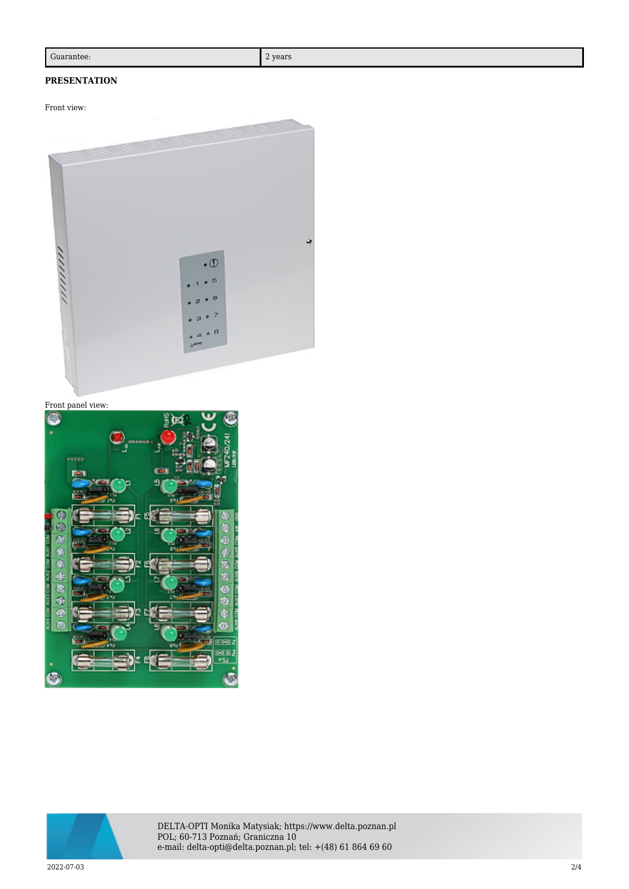## **PRESENTATION**

Front view:







DELTA-OPTI Monika Matysiak; https://www.delta.poznan.pl POL; 60-713 Poznań; Graniczna 10 e-mail: delta-opti@delta.poznan.pl; tel: +(48) 61 864 69 60

2022-07-03 2/4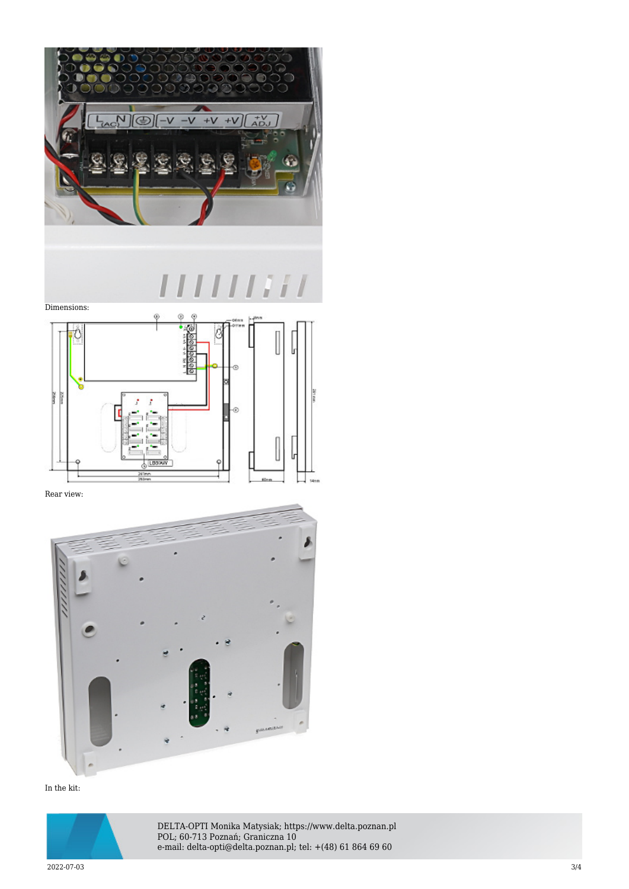

 $[1111111]$  $\int d\mathbf{r} \, d\mathbf{r} \, d\mathbf{r} \, d\mathbf{r} \, d\mathbf{r} \, d\mathbf{r} \, d\mathbf{r} \, d\mathbf{r} \, d\mathbf{r} \, d\mathbf{r} \, d\mathbf{r} \, d\mathbf{r} \, d\mathbf{r} \, d\mathbf{r} \, d\mathbf{r} \, d\mathbf{r} \, d\mathbf{r} \, d\mathbf{r} \, d\mathbf{r} \, d\mathbf{r} \, d\mathbf{r} \, d\mathbf{r} \, d\mathbf{r} \, d\mathbf{r} \, d\$ 



Rear view:



In the kit:



DELTA-OPTI Monika Matysiak; https://www.delta.poznan.pl POL; 60-713 Poznań; Graniczna 10 e-mail: delta-opti@delta.poznan.pl; tel: +(48) 61 864 69 60

2022-07-03 3/4